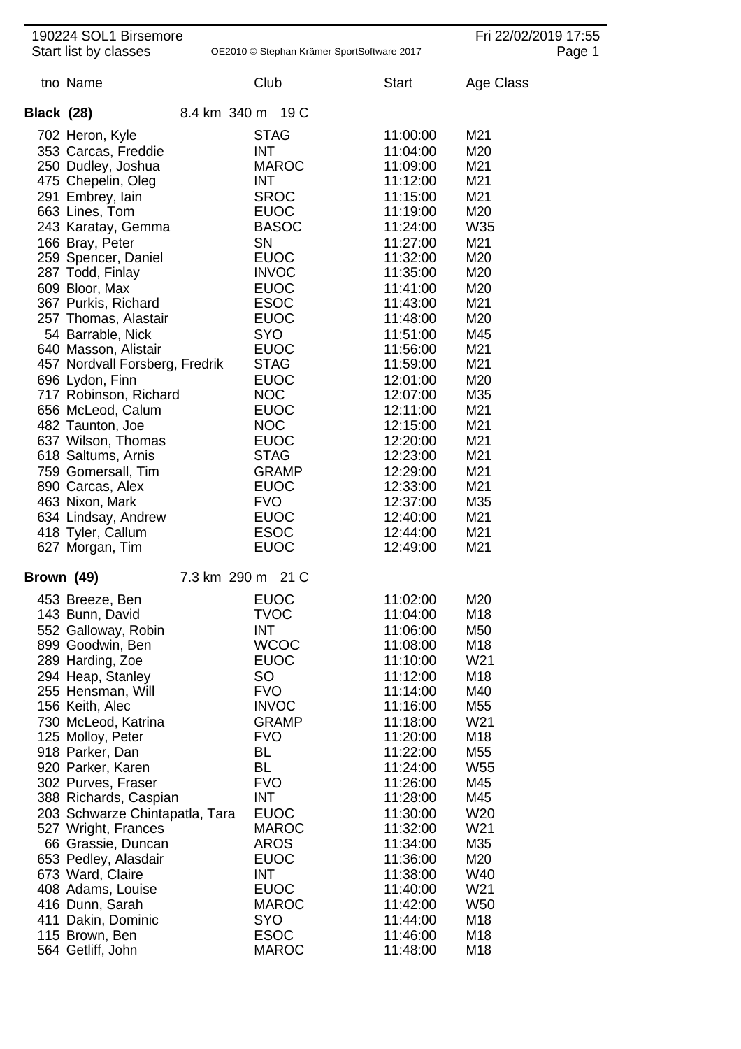|                   | 190224 SOL1 Birsemore                    |              |                                            |                      | Fri 22/02/2019 17:55 |        |
|-------------------|------------------------------------------|--------------|--------------------------------------------|----------------------|----------------------|--------|
|                   | Start list by classes                    |              | OE2010 © Stephan Krämer SportSoftware 2017 |                      |                      | Page 1 |
|                   | tno Name                                 |              | Club                                       | <b>Start</b>         | Age Class            |        |
| <b>Black (28)</b> |                                          |              | 8.4 km 340 m 19 C                          |                      |                      |        |
|                   | 702 Heron, Kyle                          |              | <b>STAG</b>                                | 11:00:00             | M21                  |        |
|                   | 353 Carcas, Freddie                      |              | <b>INT</b>                                 | 11:04:00             | M20                  |        |
|                   | 250 Dudley, Joshua                       |              | <b>MAROC</b>                               | 11:09:00             | M21                  |        |
|                   | 475 Chepelin, Oleg                       |              | <b>INT</b>                                 | 11:12:00             | M21                  |        |
|                   | 291 Embrey, lain                         |              | <b>SROC</b>                                | 11:15:00             | M21                  |        |
|                   | 663 Lines, Tom                           |              | <b>EUOC</b>                                | 11:19:00             | M20                  |        |
|                   | 243 Karatay, Gemma                       |              | <b>BASOC</b>                               | 11:24:00             | W35                  |        |
|                   | 166 Bray, Peter                          |              | SN                                         | 11:27:00             | M21                  |        |
|                   | 259 Spencer, Daniel                      |              | <b>EUOC</b>                                | 11:32:00             | M20                  |        |
|                   | 287 Todd, Finlay                         |              | <b>INVOC</b>                               | 11:35:00             | M20                  |        |
|                   | 609 Bloor, Max                           |              | <b>EUOC</b>                                | 11:41:00             | M20                  |        |
|                   | 367 Purkis, Richard                      |              | <b>ESOC</b>                                | 11:43:00             | M21                  |        |
|                   | 257 Thomas, Alastair                     |              | <b>EUOC</b>                                | 11:48:00             | M20                  |        |
|                   | 54 Barrable, Nick                        |              | <b>SYO</b>                                 | 11:51:00             | M45                  |        |
|                   | 640 Masson, Alistair                     |              | <b>EUOC</b>                                | 11:56:00             | M21                  |        |
|                   | 457 Nordvall Forsberg, Fredrik           |              | <b>STAG</b><br><b>EUOC</b>                 | 11:59:00<br>12:01:00 | M21<br>M20           |        |
|                   | 696 Lydon, Finn<br>717 Robinson, Richard |              | <b>NOC</b>                                 | 12:07:00             | M35                  |        |
|                   | 656 McLeod, Calum                        |              | <b>EUOC</b>                                | 12:11:00             | M21                  |        |
|                   | 482 Taunton, Joe                         |              | <b>NOC</b>                                 | 12:15:00             | M21                  |        |
|                   | 637 Wilson, Thomas                       |              | <b>EUOC</b>                                | 12:20:00             | M21                  |        |
|                   | 618 Saltums, Arnis                       |              | <b>STAG</b>                                | 12:23:00             | M21                  |        |
|                   | 759 Gomersall, Tim                       |              | <b>GRAMP</b>                               | 12:29:00             | M21                  |        |
|                   | 890 Carcas, Alex                         |              | <b>EUOC</b>                                | 12:33:00             | M21                  |        |
|                   | 463 Nixon, Mark                          |              | <b>FVO</b>                                 | 12:37:00             | M35                  |        |
|                   | 634 Lindsay, Andrew                      |              | <b>EUOC</b>                                | 12:40:00             | M21                  |        |
|                   | 418 Tyler, Callum                        |              | <b>ESOC</b>                                | 12:44:00             | M21                  |        |
|                   | 627 Morgan, Tim                          |              | <b>EUOC</b>                                | 12:49:00             | M21                  |        |
| Brown (49)        |                                          | 7.3 km 290 m | 21 C                                       |                      |                      |        |
|                   | 453 Breeze, Ben                          |              | <b>EUOC</b>                                | 11:02:00             | M20                  |        |
|                   | 143 Bunn, David                          |              | <b>TVOC</b>                                | 11:04:00             | M18                  |        |
|                   | 552 Galloway, Robin                      |              | <b>INT</b>                                 | 11:06:00             | M50                  |        |
|                   | 899 Goodwin, Ben                         |              | <b>WCOC</b>                                | 11:08:00             | M18                  |        |
|                   | 289 Harding, Zoe                         |              | <b>EUOC</b>                                | 11:10:00             | W21                  |        |
|                   | 294 Heap, Stanley<br>255 Hensman, Will   |              | SO<br><b>FVO</b>                           | 11:12:00<br>11:14:00 | M18<br>M40           |        |
|                   | 156 Keith, Alec                          |              | <b>INVOC</b>                               | 11:16:00             | M55                  |        |
|                   | 730 McLeod, Katrina                      |              | <b>GRAMP</b>                               | 11:18:00             | W21                  |        |
|                   | 125 Molloy, Peter                        |              | <b>FVO</b>                                 | 11:20:00             | M18                  |        |
|                   | 918 Parker, Dan                          |              | <b>BL</b>                                  | 11:22:00             | M <sub>55</sub>      |        |
|                   | 920 Parker, Karen                        |              | <b>BL</b>                                  | 11:24:00             | W55                  |        |
|                   | 302 Purves, Fraser                       |              | <b>FVO</b>                                 | 11:26:00             | M45                  |        |
|                   | 388 Richards, Caspian                    |              | <b>INT</b>                                 | 11:28:00             | M45                  |        |
|                   | 203 Schwarze Chintapatla, Tara           |              | <b>EUOC</b>                                | 11:30:00             | W20                  |        |
|                   | 527 Wright, Frances                      |              | <b>MAROC</b>                               | 11:32:00             | W21                  |        |
|                   | 66 Grassie, Duncan                       |              | <b>AROS</b>                                | 11:34:00             | M35                  |        |
|                   | 653 Pedley, Alasdair                     |              | <b>EUOC</b><br><b>INT</b>                  | 11:36:00<br>11:38:00 | M20<br>W40           |        |
|                   | 673 Ward, Claire<br>408 Adams, Louise    |              | <b>EUOC</b>                                | 11:40:00             | W21                  |        |
|                   | 416 Dunn, Sarah                          |              | <b>MAROC</b>                               | 11:42:00             | W <sub>50</sub>      |        |
|                   | 411 Dakin, Dominic                       |              | <b>SYO</b>                                 | 11:44:00             | M18                  |        |
|                   | 115 Brown, Ben                           |              | <b>ESOC</b>                                | 11:46:00             | M18                  |        |
|                   | 564 Getliff, John                        |              | <b>MAROC</b>                               | 11:48:00             | M18                  |        |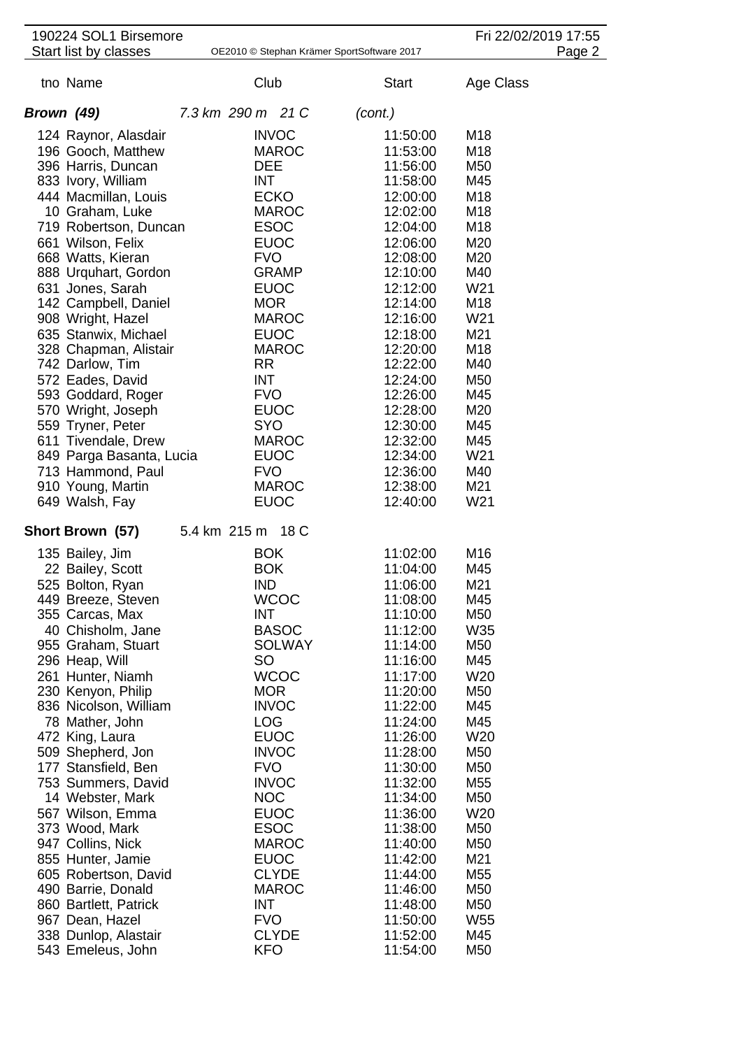| 190224 SOL1 Birsemore                     |                                            |                      | Fri 22/02/2019 17:55   |
|-------------------------------------------|--------------------------------------------|----------------------|------------------------|
| Start list by classes                     | OE2010 © Stephan Krämer SportSoftware 2017 |                      | Page 2                 |
| tno Name                                  | Club                                       | <b>Start</b>         | Age Class              |
| Brown (49)                                | 7.3 km 290 m 21 C                          | (cont.)              |                        |
| 124 Raynor, Alasdair                      | <b>INVOC</b>                               | 11:50:00             | M18                    |
| 196 Gooch, Matthew                        | <b>MAROC</b>                               | 11:53:00             | M18                    |
| 396 Harris, Duncan                        | <b>DEE</b>                                 | 11:56:00             | M50                    |
| 833 Ivory, William                        | INT                                        | 11:58:00             | M45                    |
| 444 Macmillan, Louis                      | <b>ECKO</b>                                | 12:00:00             | M18                    |
| 10 Graham, Luke                           | <b>MAROC</b>                               | 12:02:00             | M18                    |
| 719 Robertson, Duncan                     | <b>ESOC</b>                                | 12:04:00             | M18                    |
| 661 Wilson, Felix                         | <b>EUOC</b>                                | 12:06:00             | M20                    |
| 668 Watts, Kieran                         | <b>FVO</b>                                 | 12:08:00             | M20                    |
| 888 Urquhart, Gordon                      | <b>GRAMP</b>                               | 12:10:00             | M40<br>W <sub>21</sub> |
| 631 Jones, Sarah<br>142 Campbell, Daniel  | <b>EUOC</b><br><b>MOR</b>                  | 12:12:00<br>12:14:00 | M18                    |
| 908 Wright, Hazel                         | <b>MAROC</b>                               | 12:16:00             | W <sub>21</sub>        |
| 635 Stanwix, Michael                      | <b>EUOC</b>                                | 12:18:00             | M21                    |
| 328 Chapman, Alistair                     | <b>MAROC</b>                               | 12:20:00             | M18                    |
| 742 Darlow, Tim                           | RR                                         | 12:22:00             | M40                    |
| 572 Eades, David                          | <b>INT</b>                                 | 12:24:00             | M50                    |
| 593 Goddard, Roger                        | <b>FVO</b>                                 | 12:26:00             | M45                    |
| 570 Wright, Joseph                        | <b>EUOC</b>                                | 12:28:00             | M20                    |
| 559 Tryner, Peter                         | <b>SYO</b>                                 | 12:30:00             | M45                    |
| 611 Tivendale, Drew                       | <b>MAROC</b>                               | 12:32:00             | M45                    |
| 849 Parga Basanta, Lucia                  | <b>EUOC</b>                                | 12:34:00             | W <sub>21</sub>        |
| 713 Hammond, Paul                         | <b>FVO</b><br><b>MAROC</b>                 | 12:36:00<br>12:38:00 | M40<br>M21             |
| 910 Young, Martin<br>649 Walsh, Fay       | <b>EUOC</b>                                | 12:40:00             | W <sub>21</sub>        |
| Short Brown (57)                          | 5.4 km 215 m 18 C                          |                      |                        |
|                                           |                                            |                      |                        |
| 135 Bailey, Jim                           | <b>BOK</b><br><b>BOK</b>                   | 11:02:00<br>11:04:00 | M16<br>M45             |
| 22 Bailey, Scott<br>525 Bolton, Ryan      | <b>IND</b>                                 | 11:06:00             | M21                    |
| 449 Breeze, Steven                        | <b>WCOC</b>                                | 11:08:00             | M45                    |
| 355 Carcas, Max                           | <b>INT</b>                                 | 11:10:00             | M50                    |
| 40 Chisholm, Jane                         | <b>BASOC</b>                               | 11:12:00             | W35                    |
| 955 Graham, Stuart                        | <b>SOLWAY</b>                              | 11:14:00             | M50                    |
| 296 Heap, Will                            | SO                                         | 11:16:00             | M45                    |
| 261 Hunter, Niamh                         | <b>WCOC</b>                                | 11:17:00             | W20                    |
| 230 Kenyon, Philip                        | <b>MOR</b>                                 | 11:20:00             | M50                    |
| 836 Nicolson, William                     | <b>INVOC</b>                               | 11:22:00             | M45                    |
| 78 Mather, John                           | <b>LOG</b>                                 | 11:24:00             | M45                    |
| 472 King, Laura<br>509 Shepherd, Jon      | <b>EUOC</b><br><b>INVOC</b>                | 11:26:00<br>11:28:00 | W20<br>M50             |
| 177 Stansfield, Ben                       | <b>FVO</b>                                 | 11:30:00             | M50                    |
| 753 Summers, David                        | <b>INVOC</b>                               | 11:32:00             | M55                    |
| 14 Webster, Mark                          | <b>NOC</b>                                 | 11:34:00             | M50                    |
| 567 Wilson, Emma                          | <b>EUOC</b>                                | 11:36:00             | W20                    |
| 373 Wood, Mark                            | <b>ESOC</b>                                | 11:38:00             | M50                    |
| 947 Collins, Nick                         | <b>MAROC</b>                               | 11:40:00             | M50                    |
| 855 Hunter, Jamie                         | <b>EUOC</b>                                | 11:42:00             | M21                    |
| 605 Robertson, David                      | <b>CLYDE</b>                               | 11:44:00             | M55                    |
| 490 Barrie, Donald                        | <b>MAROC</b>                               | 11:46:00             | M50                    |
| 860 Bartlett, Patrick                     | INT                                        | 11:48:00             | M50                    |
| 967 Dean, Hazel                           | <b>FVO</b>                                 | 11:50:00             | W <sub>55</sub>        |
| 338 Dunlop, Alastair<br>543 Emeleus, John | <b>CLYDE</b><br><b>KFO</b>                 | 11:52:00<br>11:54:00 | M45<br>M50             |
|                                           |                                            |                      |                        |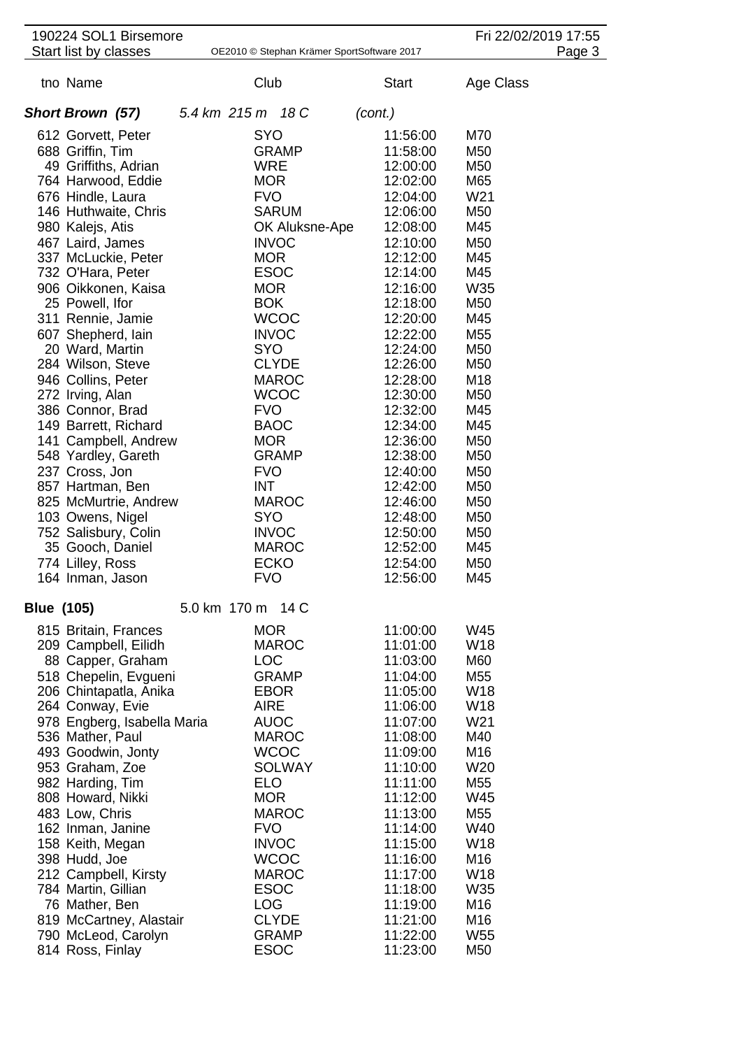|                   | 190224 SOL1 Birsemore                 |                   |                                            |         |                      |                        | Fri 22/02/2019 17:55 |
|-------------------|---------------------------------------|-------------------|--------------------------------------------|---------|----------------------|------------------------|----------------------|
|                   | Start list by classes                 |                   | OE2010 © Stephan Krämer SportSoftware 2017 |         |                      |                        | Page 3               |
|                   | tno Name                              | Club              |                                            |         | <b>Start</b>         | Age Class              |                      |
|                   | <b>Short Brown (57)</b>               | 5.4 km 215 m 18 C |                                            | (cont.) |                      |                        |                      |
|                   | 612 Gorvett, Peter                    | <b>SYO</b>        |                                            |         | 11:56:00             | M70                    |                      |
|                   | 688 Griffin, Tim                      |                   | <b>GRAMP</b>                               |         | 11:58:00             | M50                    |                      |
|                   | 49 Griffiths, Adrian                  | <b>WRE</b>        |                                            |         | 12:00:00             | M50                    |                      |
|                   | 764 Harwood, Eddie                    | <b>MOR</b>        |                                            |         | 12:02:00             | M65                    |                      |
|                   | 676 Hindle, Laura                     | <b>FVO</b>        |                                            |         | 12:04:00             | W <sub>21</sub>        |                      |
|                   | 146 Huthwaite, Chris                  |                   | <b>SARUM</b>                               |         | 12:06:00             | M50                    |                      |
|                   | 980 Kalejs, Atis                      |                   | OK Aluksne-Ape                             |         | 12:08:00             | M45                    |                      |
|                   | 467 Laird, James                      |                   | <b>INVOC</b>                               |         | 12:10:00             | M50                    |                      |
|                   | 337 McLuckie, Peter                   | <b>MOR</b>        |                                            |         | 12:12:00             | M45                    |                      |
|                   | 732 O'Hara, Peter                     | <b>ESOC</b>       |                                            |         | 12:14:00             | M45                    |                      |
|                   | 906 Oikkonen, Kaisa                   | <b>MOR</b>        |                                            |         | 12:16:00             | W35                    |                      |
|                   | 25 Powell, Ifor                       | <b>BOK</b>        |                                            |         | 12:18:00             | M <sub>50</sub>        |                      |
|                   | 311 Rennie, Jamie                     |                   | <b>WCOC</b>                                |         | 12:20:00             | M45                    |                      |
|                   | 607 Shepherd, Iain                    |                   | <b>INVOC</b>                               |         | 12:22:00             | M <sub>55</sub>        |                      |
|                   | 20 Ward, Martin                       | <b>SYO</b>        |                                            |         | 12:24:00             | M <sub>50</sub>        |                      |
|                   | 284 Wilson, Steve                     |                   | <b>CLYDE</b>                               |         | 12:26:00             | M <sub>50</sub>        |                      |
|                   | 946 Collins, Peter                    |                   | <b>MAROC</b>                               |         | 12:28:00             | M18                    |                      |
|                   | 272 Irving, Alan                      |                   | <b>WCOC</b>                                |         | 12:30:00             | M <sub>50</sub>        |                      |
|                   | 386 Connor, Brad                      | <b>FVO</b>        |                                            |         | 12:32:00             | M45                    |                      |
|                   | 149 Barrett, Richard                  | <b>BAOC</b>       |                                            |         | 12:34:00             | M45                    |                      |
|                   | 141 Campbell, Andrew                  | <b>MOR</b>        |                                            |         | 12:36:00             | M50                    |                      |
|                   | 548 Yardley, Gareth                   |                   | <b>GRAMP</b>                               |         | 12:38:00             | M50                    |                      |
|                   | 237 Cross, Jon                        | <b>FVO</b>        |                                            |         | 12:40:00             | M <sub>50</sub>        |                      |
|                   | 857 Hartman, Ben                      | <b>INT</b>        |                                            |         | 12:42:00             | M <sub>50</sub>        |                      |
|                   | 825 McMurtrie, Andrew                 |                   | <b>MAROC</b>                               |         | 12:46:00             | M <sub>50</sub>        |                      |
|                   | 103 Owens, Nigel                      | <b>SYO</b>        |                                            |         | 12:48:00             | M <sub>50</sub>        |                      |
|                   | 752 Salisbury, Colin                  |                   | <b>INVOC</b>                               |         | 12:50:00             | M <sub>50</sub>        |                      |
|                   | 35 Gooch, Daniel                      |                   | <b>MAROC</b>                               |         | 12:52:00             | M45                    |                      |
|                   | 774 Lilley, Ross                      | <b>ECKO</b>       |                                            |         | 12:54:00             | M <sub>50</sub>        |                      |
|                   | 164 Inman, Jason                      | <b>FVO</b>        |                                            |         | 12:56:00             | M45                    |                      |
| <b>Blue (105)</b> |                                       | 5.0 km 170 m 14 C |                                            |         |                      |                        |                      |
|                   | 815 Britain, Frances                  | <b>MOR</b>        |                                            |         | 11:00:00             | W45                    |                      |
|                   | 209 Campbell, Eilidh                  |                   | <b>MAROC</b>                               |         | 11:01:00             | W18                    |                      |
|                   | 88 Capper, Graham                     | <b>LOC</b>        |                                            |         | 11:03:00             | M60                    |                      |
|                   | 518 Chepelin, Evgueni                 |                   | <b>GRAMP</b>                               |         | 11:04:00             | M <sub>55</sub>        |                      |
|                   | 206 Chintapatla, Anika                | <b>EBOR</b>       |                                            |         | 11:05:00             | W18                    |                      |
|                   | 264 Conway, Evie                      | <b>AIRE</b>       |                                            |         | 11:06:00             | W18                    |                      |
|                   | 978 Engberg, Isabella Maria           | <b>AUOC</b>       |                                            |         | 11:07:00             | W21                    |                      |
|                   | 536 Mather, Paul                      |                   | <b>MAROC</b>                               |         | 11:08:00             | M40<br>M16             |                      |
|                   | 493 Goodwin, Jonty                    |                   | <b>WCOC</b>                                |         | 11:09:00             |                        |                      |
|                   | 953 Graham, Zoe                       | <b>ELO</b>        | <b>SOLWAY</b>                              |         | 11:10:00<br>11:11:00 | W20<br>M <sub>55</sub> |                      |
|                   | 982 Harding, Tim<br>808 Howard, Nikki | <b>MOR</b>        |                                            |         | 11:12:00             | W45                    |                      |
|                   | 483 Low, Chris                        |                   | <b>MAROC</b>                               |         | 11:13:00             | M <sub>55</sub>        |                      |
|                   | 162 Inman, Janine                     | <b>FVO</b>        |                                            |         | 11:14:00             | W40                    |                      |
|                   | 158 Keith, Megan                      |                   | <b>INVOC</b>                               |         | 11:15:00             | W <sub>18</sub>        |                      |
|                   | 398 Hudd, Joe                         |                   | <b>WCOC</b>                                |         | 11:16:00             | M16                    |                      |
|                   | 212 Campbell, Kirsty                  |                   | <b>MAROC</b>                               |         | 11:17:00             | <b>W18</b>             |                      |
|                   | 784 Martin, Gillian                   | <b>ESOC</b>       |                                            |         | 11:18:00             | W35                    |                      |
|                   | 76 Mather, Ben                        | <b>LOG</b>        |                                            |         | 11:19:00             | M16                    |                      |
|                   | 819 McCartney, Alastair               |                   | <b>CLYDE</b>                               |         | 11:21:00             | M <sub>16</sub>        |                      |
|                   | 790 McLeod, Carolyn                   |                   | <b>GRAMP</b>                               |         | 11:22:00             | W <sub>55</sub>        |                      |
|                   | 814 Ross, Finlay                      | <b>ESOC</b>       |                                            |         | 11:23:00             | M50                    |                      |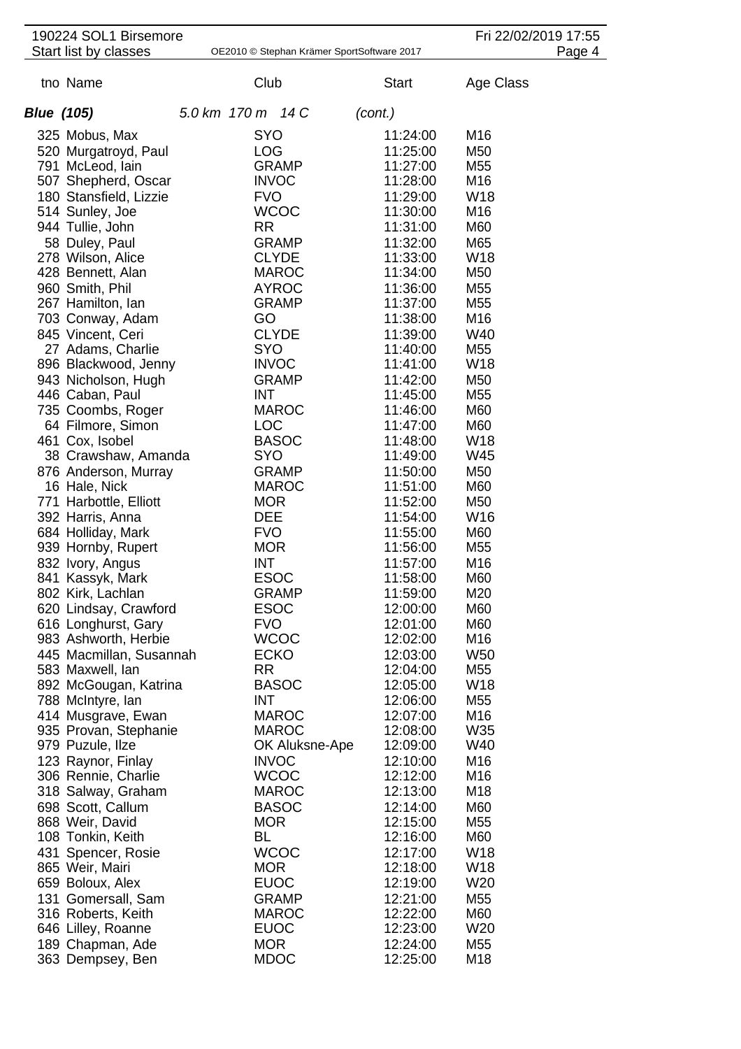|                   | 190224 SOL1 Birsemore                   |                           |                |                                            | Fri 22/02/2019 17:55   |        |
|-------------------|-----------------------------------------|---------------------------|----------------|--------------------------------------------|------------------------|--------|
|                   | Start list by classes                   |                           |                | OE2010 © Stephan Krämer SportSoftware 2017 |                        | Page 4 |
|                   | tno Name                                | Club                      |                | <b>Start</b>                               | Age Class              |        |
| <b>Blue (105)</b> |                                         | 5.0 km 170 m 14 C         |                | (cont.)                                    |                        |        |
|                   | 325 Mobus, Max                          | SYO                       |                | 11:24:00                                   | M16                    |        |
|                   | 520 Murgatroyd, Paul                    | <b>LOG</b>                |                | 11:25:00                                   | M50                    |        |
|                   | 791 McLeod, lain                        |                           | <b>GRAMP</b>   | 11:27:00                                   | M55                    |        |
|                   | 507 Shepherd, Oscar                     | <b>INVOC</b>              |                | 11:28:00                                   | M16                    |        |
|                   | 180 Stansfield, Lizzie                  | <b>FVO</b>                |                | 11:29:00                                   | W18                    |        |
|                   | 514 Sunley, Joe                         |                           | <b>WCOC</b>    | 11:30:00                                   | M16                    |        |
|                   | 944 Tullie, John                        | <b>RR</b>                 |                | 11:31:00                                   | M60                    |        |
|                   | 58 Duley, Paul                          |                           | <b>GRAMP</b>   | 11:32:00                                   | M65                    |        |
|                   | 278 Wilson, Alice                       |                           | <b>CLYDE</b>   | 11:33:00                                   | W18                    |        |
|                   | 428 Bennett, Alan                       |                           | <b>MAROC</b>   | 11:34:00                                   | M50                    |        |
|                   | 960 Smith, Phil                         |                           | <b>AYROC</b>   | 11:36:00                                   | M <sub>55</sub>        |        |
|                   | 267 Hamilton, lan<br>703 Conway, Adam   | GO                        | <b>GRAMP</b>   | 11:37:00<br>11:38:00                       | M <sub>55</sub><br>M16 |        |
|                   | 845 Vincent, Ceri                       |                           | <b>CLYDE</b>   | 11:39:00                                   | W40                    |        |
|                   | 27 Adams, Charlie                       | <b>SYO</b>                |                | 11:40:00                                   | M55                    |        |
|                   | 896 Blackwood, Jenny                    | <b>INVOC</b>              |                | 11:41:00                                   | W18                    |        |
|                   | 943 Nicholson, Hugh                     |                           | <b>GRAMP</b>   | 11:42:00                                   | M50                    |        |
|                   | 446 Caban, Paul                         | <b>INT</b>                |                | 11:45:00                                   | M55                    |        |
|                   | 735 Coombs, Roger                       |                           | <b>MAROC</b>   | 11:46:00                                   | M60                    |        |
|                   | 64 Filmore, Simon                       | <b>LOC</b>                |                | 11:47:00                                   | M60                    |        |
|                   | 461 Cox, Isobel                         |                           | <b>BASOC</b>   | 11:48:00                                   | W <sub>18</sub>        |        |
|                   | 38 Crawshaw, Amanda                     | <b>SYO</b>                |                | 11:49:00                                   | W45                    |        |
|                   | 876 Anderson, Murray                    |                           | <b>GRAMP</b>   | 11:50:00                                   | M50                    |        |
|                   | 16 Hale, Nick                           |                           | <b>MAROC</b>   | 11:51:00                                   | M60                    |        |
|                   | 771 Harbottle, Elliott                  | <b>MOR</b>                |                | 11:52:00                                   | M <sub>50</sub>        |        |
|                   | 392 Harris, Anna<br>684 Holliday, Mark  | <b>DEE</b><br><b>FVO</b>  |                | 11:54:00<br>11:55:00                       | W16<br>M60             |        |
|                   | 939 Hornby, Rupert                      | <b>MOR</b>                |                | 11:56:00                                   | M <sub>55</sub>        |        |
|                   | 832 Ivory, Angus                        | <b>INT</b>                |                | 11:57:00                                   | M16                    |        |
|                   | 841 Kassyk, Mark                        | <b>ESOC</b>               |                | 11:58:00                                   | M60                    |        |
|                   | 802 Kirk, Lachlan                       |                           | <b>GRAMP</b>   | 11:59:00                                   | M20                    |        |
|                   | 620 Lindsay, Crawford                   | <b>ESOC</b>               |                | 12:00:00                                   | M60                    |        |
|                   | 616 Longhurst, Gary                     | <b>FVO</b>                |                | 12:01:00                                   | M60                    |        |
|                   | 983 Ashworth, Herbie                    |                           | <b>WCOC</b>    | 12:02:00                                   | M16                    |        |
|                   | 445 Macmillan, Susannah                 | <b>ECKO</b>               |                | 12:03:00                                   | W <sub>50</sub>        |        |
|                   | 583 Maxwell, lan                        | <b>RR</b>                 |                | 12:04:00                                   | M55                    |        |
|                   | 892 McGougan, Katrina                   |                           | <b>BASOC</b>   | 12:05:00                                   | W18                    |        |
|                   | 788 McIntyre, lan<br>414 Musgrave, Ewan | <b>INT</b>                | <b>MAROC</b>   | 12:06:00<br>12:07:00                       | M55<br>M16             |        |
|                   | 935 Provan, Stephanie                   |                           | <b>MAROC</b>   | 12:08:00                                   | W35                    |        |
|                   | 979 Puzule, Ilze                        |                           | OK Aluksne-Ape | 12:09:00                                   | W40                    |        |
|                   | 123 Raynor, Finlay                      | <b>INVOC</b>              |                | 12:10:00                                   | M16                    |        |
|                   | 306 Rennie, Charlie                     |                           | <b>WCOC</b>    | 12:12:00                                   | M16                    |        |
|                   | 318 Salway, Graham                      |                           | <b>MAROC</b>   | 12:13:00                                   | M18                    |        |
|                   | 698 Scott, Callum                       |                           | <b>BASOC</b>   | 12:14:00                                   | M60                    |        |
|                   | 868 Weir, David                         | <b>MOR</b>                |                | 12:15:00                                   | M55                    |        |
|                   | 108 Tonkin, Keith                       | <b>BL</b>                 |                | 12:16:00                                   | M60                    |        |
|                   | 431 Spencer, Rosie                      |                           | <b>WCOC</b>    | 12:17:00                                   | W18                    |        |
|                   | 865 Weir, Mairi                         | <b>MOR</b>                |                | 12:18:00                                   | W18                    |        |
|                   | 659 Boloux, Alex                        | <b>EUOC</b>               |                | 12:19:00                                   | W <sub>20</sub>        |        |
|                   | 131 Gomersall, Sam                      |                           | <b>GRAMP</b>   | 12:21:00                                   | M55                    |        |
|                   | 316 Roberts, Keith                      |                           | <b>MAROC</b>   | 12:22:00                                   | M60                    |        |
|                   | 646 Lilley, Roanne                      | <b>EUOC</b><br><b>MOR</b> |                | 12:23:00                                   | W20                    |        |
|                   | 189 Chapman, Ade<br>363 Dempsey, Ben    | <b>MDOC</b>               |                | 12:24:00<br>12:25:00                       | M55<br>M18             |        |
|                   |                                         |                           |                |                                            |                        |        |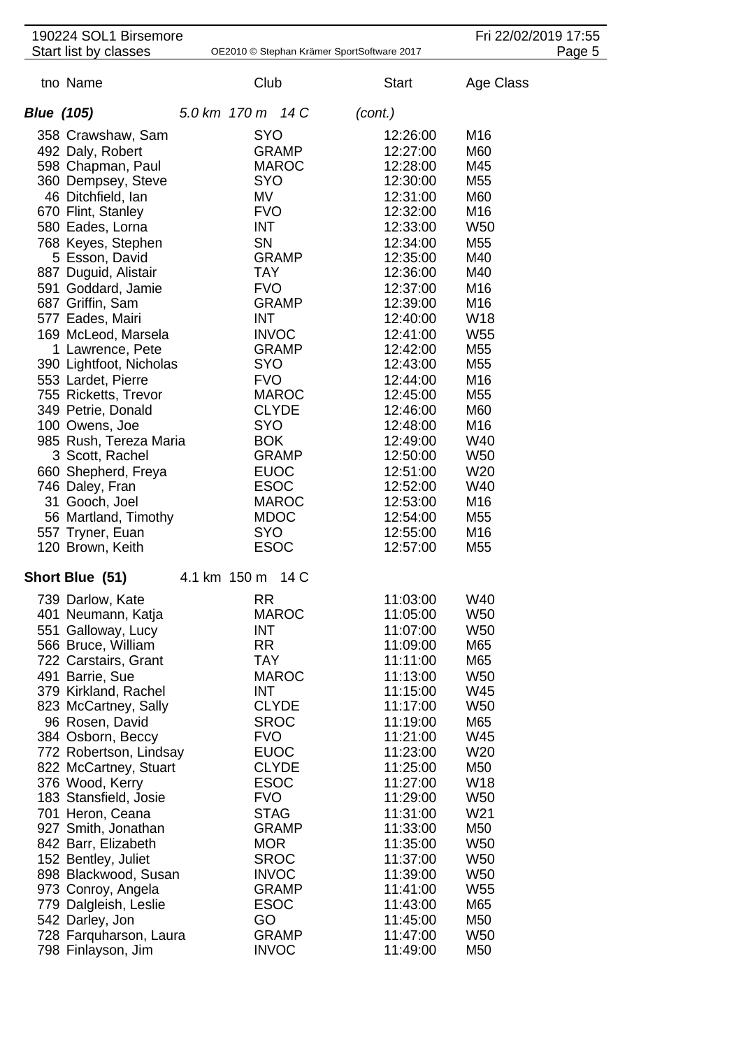|                   | 190224 SOL1 Birsemore                        |              |                   |              |                                            |                        | Fri 22/02/2019 17:55 |
|-------------------|----------------------------------------------|--------------|-------------------|--------------|--------------------------------------------|------------------------|----------------------|
|                   | Start list by classes                        |              |                   |              | OE2010 © Stephan Krämer SportSoftware 2017 |                        | Page 5               |
|                   | tno Name                                     |              | Club              |              | <b>Start</b>                               | Age Class              |                      |
| <b>Blue (105)</b> |                                              |              | 5.0 km 170 m 14 C |              | (cont.)                                    |                        |                      |
|                   | 358 Crawshaw, Sam                            |              | SYO               |              | 12:26:00                                   | M16                    |                      |
|                   | 492 Daly, Robert                             |              |                   | <b>GRAMP</b> | 12:27:00                                   | M60                    |                      |
|                   | 598 Chapman, Paul                            |              |                   | <b>MAROC</b> | 12:28:00                                   | M45                    |                      |
|                   | 360 Dempsey, Steve                           |              | <b>SYO</b>        |              | 12:30:00                                   | M <sub>55</sub>        |                      |
|                   | 46 Ditchfield, Ian                           |              | MV                |              | 12:31:00                                   | M60                    |                      |
|                   | 670 Flint, Stanley                           |              | <b>FVO</b>        |              | 12:32:00                                   | M16                    |                      |
|                   | 580 Eades, Lorna                             |              | <b>INT</b>        |              | 12:33:00                                   | W <sub>50</sub>        |                      |
|                   | 768 Keyes, Stephen                           |              | SN                |              | 12:34:00                                   | M <sub>55</sub>        |                      |
|                   | 5 Esson, David                               |              |                   | <b>GRAMP</b> | 12:35:00                                   | M40                    |                      |
|                   | 887 Duguid, Alistair                         |              | <b>TAY</b>        |              | 12:36:00                                   | M40                    |                      |
|                   | 591 Goddard, Jamie                           |              | <b>FVO</b>        |              | 12:37:00                                   | M16                    |                      |
|                   | 687 Griffin, Sam                             |              |                   | <b>GRAMP</b> | 12:39:00                                   | M16                    |                      |
|                   | 577 Eades, Mairi                             |              | <b>INT</b>        |              | 12:40:00                                   | W18                    |                      |
|                   | 169 McLeod, Marsela                          |              | <b>INVOC</b>      | <b>GRAMP</b> | 12:41:00<br>12:42:00                       | W <sub>55</sub><br>M55 |                      |
|                   | 1 Lawrence, Pete<br>390 Lightfoot, Nicholas  |              | <b>SYO</b>        |              | 12:43:00                                   | M <sub>55</sub>        |                      |
|                   | 553 Lardet, Pierre                           |              | <b>FVO</b>        |              | 12:44:00                                   | M16                    |                      |
|                   | 755 Ricketts, Trevor                         |              |                   | <b>MAROC</b> | 12:45:00                                   | M <sub>55</sub>        |                      |
|                   | 349 Petrie, Donald                           |              |                   | <b>CLYDE</b> | 12:46:00                                   | M60                    |                      |
|                   | 100 Owens, Joe                               |              | <b>SYO</b>        |              | 12:48:00                                   | M16                    |                      |
|                   | 985 Rush, Tereza Maria                       |              | <b>BOK</b>        |              | 12:49:00                                   | W40                    |                      |
|                   | 3 Scott, Rachel                              |              |                   | <b>GRAMP</b> | 12:50:00                                   | W <sub>50</sub>        |                      |
|                   | 660 Shepherd, Freya                          |              | <b>EUOC</b>       |              | 12:51:00                                   | W <sub>20</sub>        |                      |
|                   | 746 Daley, Fran                              |              | <b>ESOC</b>       |              | 12:52:00                                   | W40                    |                      |
|                   | 31 Gooch, Joel                               |              |                   | <b>MAROC</b> | 12:53:00                                   | M16                    |                      |
|                   | 56 Martland, Timothy                         |              | <b>MDOC</b>       |              | 12:54:00                                   | M <sub>55</sub>        |                      |
|                   | 557 Tryner, Euan                             |              | <b>SYO</b>        |              | 12:55:00                                   | M16                    |                      |
|                   | 120 Brown, Keith                             |              | <b>ESOC</b>       |              | 12:57:00                                   | M <sub>55</sub>        |                      |
|                   | Short Blue (51)                              | 4.1 km 150 m |                   | 14 C         |                                            |                        |                      |
|                   | 739 Darlow, Kate                             |              | <b>RR</b>         |              | 11:03:00                                   | W40                    |                      |
|                   | 401 Neumann, Katja                           |              |                   | <b>MAROC</b> | 11:05:00                                   | W <sub>50</sub>        |                      |
|                   | 551 Galloway, Lucy                           |              | <b>INT</b>        |              | 11:07:00                                   | <b>W50</b>             |                      |
|                   | 566 Bruce, William                           |              | <b>RR</b>         |              | 11:09:00                                   | M65                    |                      |
|                   | 722 Carstairs, Grant                         |              | <b>TAY</b>        |              | 11:11:00                                   | M65                    |                      |
|                   | 491 Barrie, Sue                              |              |                   | <b>MAROC</b> | 11:13:00<br>11:15:00                       | W <sub>50</sub><br>W45 |                      |
|                   | 379 Kirkland, Rachel<br>823 McCartney, Sally |              | <b>INT</b>        | <b>CLYDE</b> | 11:17:00                                   | W <sub>50</sub>        |                      |
|                   | 96 Rosen, David                              |              | <b>SROC</b>       |              | 11:19:00                                   | M65                    |                      |
|                   | 384 Osborn, Beccy                            |              | <b>FVO</b>        |              | 11:21:00                                   | W45                    |                      |
|                   | 772 Robertson, Lindsay                       |              | <b>EUOC</b>       |              | 11:23:00                                   | W20                    |                      |
|                   | 822 McCartney, Stuart                        |              |                   | <b>CLYDE</b> | 11:25:00                                   | M50                    |                      |
|                   | 376 Wood, Kerry                              |              | <b>ESOC</b>       |              | 11:27:00                                   | W <sub>18</sub>        |                      |
|                   | 183 Stansfield, Josie                        |              | <b>FVO</b>        |              | 11:29:00                                   | W <sub>50</sub>        |                      |
|                   | 701 Heron, Ceana                             |              | <b>STAG</b>       |              | 11:31:00                                   | W21                    |                      |
|                   | 927 Smith, Jonathan                          |              |                   | <b>GRAMP</b> | 11:33:00                                   | M50                    |                      |
|                   | 842 Barr, Elizabeth                          |              | <b>MOR</b>        |              | 11:35:00                                   | W <sub>50</sub>        |                      |
|                   | 152 Bentley, Juliet                          |              | <b>SROC</b>       |              | 11:37:00                                   | W <sub>50</sub>        |                      |
|                   | 898 Blackwood, Susan                         |              | <b>INVOC</b>      |              | 11:39:00                                   | W <sub>50</sub>        |                      |
|                   | 973 Conroy, Angela                           |              |                   | <b>GRAMP</b> | 11:41:00                                   | W <sub>55</sub>        |                      |
|                   | 779 Dalgleish, Leslie                        |              | <b>ESOC</b>       |              | 11:43:00                                   | M65                    |                      |
|                   | 542 Darley, Jon                              |              | GO                | <b>GRAMP</b> | 11:45:00<br>11:47:00                       | M50<br>W <sub>50</sub> |                      |
|                   | 728 Farquharson, Laura<br>798 Finlayson, Jim |              | <b>INVOC</b>      |              | 11:49:00                                   | M50                    |                      |
|                   |                                              |              |                   |              |                                            |                        |                      |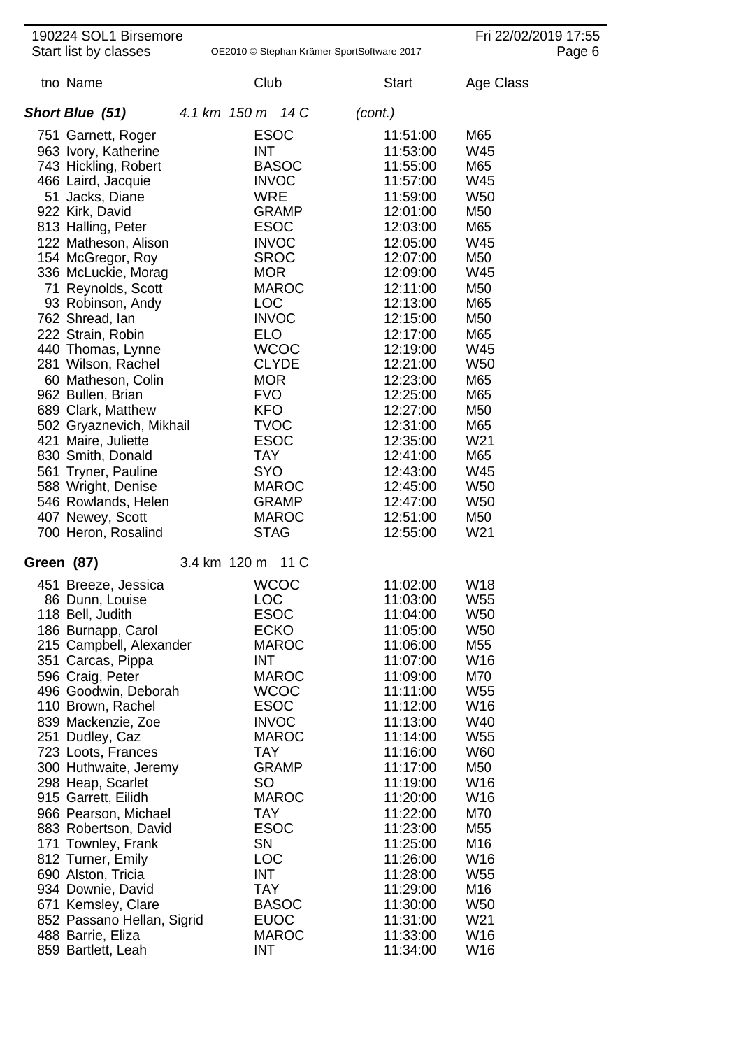|                   | 190224 SOL1 Birsemore                           |                            |              |                                            |                      | Fri 22/02/2019 17:55 |        |
|-------------------|-------------------------------------------------|----------------------------|--------------|--------------------------------------------|----------------------|----------------------|--------|
|                   | Start list by classes                           |                            |              | OE2010 © Stephan Krämer SportSoftware 2017 |                      |                      | Page 6 |
|                   | tno Name                                        | Club                       |              |                                            | <b>Start</b>         | Age Class            |        |
|                   | Short Blue (51)                                 | 4.1 km 150 m 14 C          |              | (cont.)                                    |                      |                      |        |
|                   | 751 Garnett, Roger                              | <b>ESOC</b>                |              |                                            | 11:51:00             | M65                  |        |
|                   | 963 Ivory, Katherine                            | <b>INT</b>                 |              |                                            | 11:53:00             | W45                  |        |
|                   | 743 Hickling, Robert                            |                            | <b>BASOC</b> |                                            | 11:55:00             | M65                  |        |
|                   | 466 Laird, Jacquie                              | <b>INVOC</b>               |              |                                            | 11:57:00             | W45                  |        |
|                   | 51 Jacks, Diane                                 | <b>WRE</b>                 |              |                                            | 11:59:00             | W <sub>50</sub>      |        |
|                   | 922 Kirk, David                                 |                            | <b>GRAMP</b> |                                            | 12:01:00             | M50                  |        |
|                   | 813 Halling, Peter                              | <b>ESOC</b>                |              |                                            | 12:03:00             | M65                  |        |
|                   | 122 Matheson, Alison                            | <b>INVOC</b>               |              |                                            | 12:05:00             | W45                  |        |
|                   | 154 McGregor, Roy<br>336 McLuckie, Morag        | <b>SROC</b><br><b>MOR</b>  |              |                                            | 12:07:00<br>12:09:00 | M50<br>W45           |        |
|                   | 71 Reynolds, Scott                              |                            | <b>MAROC</b> |                                            | 12:11:00             | M50                  |        |
|                   | 93 Robinson, Andy                               | <b>LOC</b>                 |              |                                            | 12:13:00             | M65                  |        |
|                   | 762 Shread, Ian                                 | <b>INVOC</b>               |              |                                            | 12:15:00             | M50                  |        |
|                   | 222 Strain, Robin                               | <b>ELO</b>                 |              |                                            | 12:17:00             | M65                  |        |
|                   | 440 Thomas, Lynne                               |                            | <b>WCOC</b>  |                                            | 12:19:00             | W45                  |        |
|                   | 281 Wilson, Rachel                              |                            | <b>CLYDE</b> |                                            | 12:21:00             | W <sub>50</sub>      |        |
|                   | 60 Matheson, Colin                              | <b>MOR</b>                 |              |                                            | 12:23:00             | M65                  |        |
|                   | 962 Bullen, Brian                               | <b>FVO</b>                 |              |                                            | 12:25:00             | M65                  |        |
|                   | 689 Clark, Matthew                              | <b>KFO</b>                 |              |                                            | 12:27:00             | M50                  |        |
|                   | 502 Gryaznevich, Mikhail<br>421 Maire, Juliette | <b>TVOC</b><br><b>ESOC</b> |              |                                            | 12:31:00<br>12:35:00 | M65<br>W21           |        |
|                   | 830 Smith, Donald                               | <b>TAY</b>                 |              |                                            | 12:41:00             | M65                  |        |
|                   | 561 Tryner, Pauline                             | <b>SYO</b>                 |              |                                            | 12:43:00             | W45                  |        |
|                   | 588 Wright, Denise                              |                            | <b>MAROC</b> |                                            | 12:45:00             | W <sub>50</sub>      |        |
|                   | 546 Rowlands, Helen                             |                            | <b>GRAMP</b> |                                            | 12:47:00             | W <sub>50</sub>      |        |
|                   | 407 Newey, Scott                                |                            | <b>MAROC</b> |                                            | 12:51:00             | M50                  |        |
|                   | 700 Heron, Rosalind                             | <b>STAG</b>                |              |                                            | 12:55:00             | W21                  |        |
| <b>Green (87)</b> |                                                 | 3.4 km 120 m 11 C          |              |                                            |                      |                      |        |
|                   | 451 Breeze, Jessica                             | <b>WCOC</b>                |              |                                            | 11:02:00             | W18                  |        |
|                   | 86 Dunn, Louise                                 | <b>LOC</b>                 |              |                                            | 11:03:00             | W <sub>55</sub>      |        |
|                   | 118 Bell, Judith                                | <b>ESOC</b>                |              |                                            | 11:04:00             | W <sub>50</sub>      |        |
|                   | 186 Burnapp, Carol<br>215 Campbell, Alexander   | <b>ECKO</b>                | <b>MAROC</b> |                                            | 11:05:00<br>11:06:00 | <b>W50</b><br>M55    |        |
|                   | 351 Carcas, Pippa                               | <b>INT</b>                 |              |                                            | 11:07:00             | W16                  |        |
|                   | 596 Craig, Peter                                |                            | <b>MAROC</b> |                                            | 11:09:00             | M70                  |        |
|                   | 496 Goodwin, Deborah                            |                            | <b>WCOC</b>  |                                            | 11:11:00             | W <sub>55</sub>      |        |
|                   | 110 Brown, Rachel                               | <b>ESOC</b>                |              |                                            | 11:12:00             | W16                  |        |
|                   | 839 Mackenzie, Zoe                              | <b>INVOC</b>               |              |                                            | 11:13:00             | W40                  |        |
|                   | 251 Dudley, Caz                                 |                            | <b>MAROC</b> |                                            | 11:14:00             | W <sub>55</sub>      |        |
|                   | 723 Loots, Frances                              | <b>TAY</b>                 |              |                                            | 11:16:00             | W60                  |        |
|                   | 300 Huthwaite, Jeremy                           |                            | <b>GRAMP</b> |                                            | 11:17:00             | M50                  |        |
|                   | 298 Heap, Scarlet<br>915 Garrett, Eilidh        | SO                         | <b>MAROC</b> |                                            | 11:19:00<br>11:20:00 | W16<br>W16           |        |
|                   | 966 Pearson, Michael                            | <b>TAY</b>                 |              |                                            | 11:22:00             | M70                  |        |
|                   | 883 Robertson, David                            | <b>ESOC</b>                |              |                                            | 11:23:00             | M55                  |        |
|                   | 171 Townley, Frank                              | <b>SN</b>                  |              |                                            | 11:25:00             | M16                  |        |
|                   | 812 Turner, Emily                               | <b>LOC</b>                 |              |                                            | 11:26:00             | W16                  |        |
|                   | 690 Alston, Tricia                              | INT                        |              |                                            | 11:28:00             | W <sub>55</sub>      |        |
|                   | 934 Downie, David                               | <b>TAY</b>                 |              |                                            | 11:29:00             | M16                  |        |
|                   | 671 Kemsley, Clare                              |                            | <b>BASOC</b> |                                            | 11:30:00             | W <sub>50</sub>      |        |
|                   | 852 Passano Hellan, Sigrid                      | <b>EUOC</b>                |              |                                            | 11:31:00             | W21                  |        |
|                   | 488 Barrie, Eliza<br>859 Bartlett, Leah         | <b>INT</b>                 | <b>MAROC</b> |                                            | 11:33:00<br>11:34:00 | W16<br>W16           |        |
|                   |                                                 |                            |              |                                            |                      |                      |        |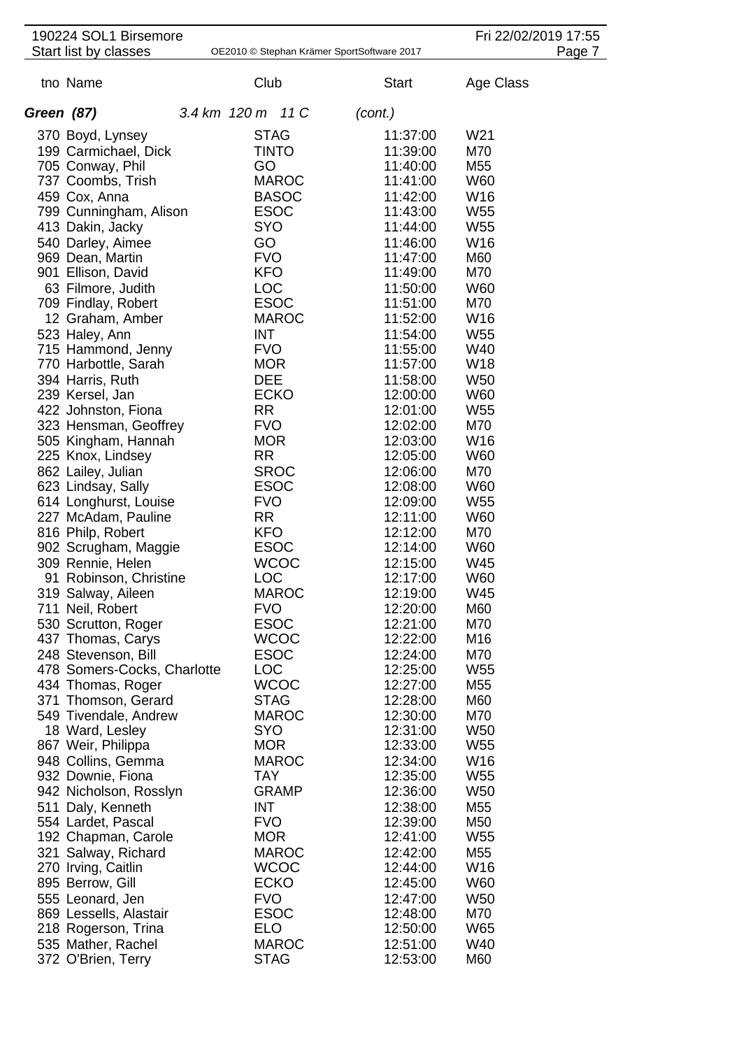| 190224 SOL1 Birsemore                       |                           |              |                                            |                      |                        |           | Fri 22/02/2019 17:55 |
|---------------------------------------------|---------------------------|--------------|--------------------------------------------|----------------------|------------------------|-----------|----------------------|
| Start list by classes                       |                           |              | OE2010 © Stephan Krämer SportSoftware 2017 |                      |                        |           | Page 7               |
| tno Name                                    | Club                      |              |                                            | <b>Start</b>         |                        | Age Class |                      |
| Green (87)                                  | 3.4 km 120 m 11 C         |              |                                            | (cont.)              |                        |           |                      |
| 370 Boyd, Lynsey                            | <b>STAG</b>               |              |                                            | 11:37:00             | W21                    |           |                      |
| 199 Carmichael, Dick                        | <b>TINTO</b>              |              |                                            | 11:39:00             | M70                    |           |                      |
| 705 Conway, Phil                            | GO                        |              |                                            | 11:40:00             | M <sub>55</sub>        |           |                      |
| 737 Coombs, Trish                           |                           | <b>MAROC</b> |                                            | 11:41:00             | W60                    |           |                      |
| 459 Cox, Anna                               |                           | <b>BASOC</b> |                                            | 11:42:00             | W16                    |           |                      |
| 799 Cunningham, Alison                      | <b>ESOC</b>               |              |                                            | 11:43:00             | W <sub>55</sub>        |           |                      |
| 413 Dakin, Jacky                            | <b>SYO</b>                |              |                                            | 11:44:00             | W <sub>55</sub>        |           |                      |
| 540 Darley, Aimee                           | GO                        |              |                                            | 11:46:00             | W16                    |           |                      |
| 969 Dean, Martin                            | <b>FVO</b>                |              |                                            | 11:47:00             | M60                    |           |                      |
| 901 Ellison, David                          | <b>KFO</b>                |              |                                            | 11:49:00             | M70                    |           |                      |
| 63 Filmore, Judith                          | <b>LOC</b><br><b>ESOC</b> |              |                                            | 11:50:00             | W60<br>M70             |           |                      |
| 709 Findlay, Robert<br>12 Graham, Amber     |                           | <b>MAROC</b> |                                            | 11:51:00<br>11:52:00 | W16                    |           |                      |
| 523 Haley, Ann                              | <b>INT</b>                |              |                                            | 11:54:00             | W <sub>55</sub>        |           |                      |
| 715 Hammond, Jenny                          | <b>FVO</b>                |              |                                            | 11:55:00             | W40                    |           |                      |
| 770 Harbottle, Sarah                        | <b>MOR</b>                |              |                                            | 11:57:00             | W18                    |           |                      |
| 394 Harris, Ruth                            | <b>DEE</b>                |              |                                            | 11:58:00             | <b>W50</b>             |           |                      |
| 239 Kersel, Jan                             | <b>ECKO</b>               |              |                                            | 12:00:00             | W60                    |           |                      |
| 422 Johnston, Fiona                         | <b>RR</b>                 |              |                                            | 12:01:00             | W <sub>55</sub>        |           |                      |
| 323 Hensman, Geoffrey                       | <b>FVO</b>                |              |                                            | 12:02:00             | M70                    |           |                      |
| 505 Kingham, Hannah                         | <b>MOR</b>                |              |                                            | 12:03:00             | W16                    |           |                      |
| 225 Knox, Lindsey                           | <b>RR</b>                 |              |                                            | 12:05:00             | W60                    |           |                      |
| 862 Lailey, Julian                          | <b>SROC</b>               |              |                                            | 12:06:00             | M70                    |           |                      |
| 623 Lindsay, Sally<br>614 Longhurst, Louise | <b>ESOC</b><br><b>FVO</b> |              |                                            | 12:08:00<br>12:09:00 | W60<br>W <sub>55</sub> |           |                      |
| 227 McAdam, Pauline                         | <b>RR</b>                 |              |                                            | 12:11:00             | W60                    |           |                      |
| 816 Philp, Robert                           | <b>KFO</b>                |              |                                            | 12:12:00             | M70                    |           |                      |
| 902 Scrugham, Maggie                        | <b>ESOC</b>               |              |                                            | 12:14:00             | W60                    |           |                      |
| 309 Rennie, Helen                           | <b>WCOC</b>               |              |                                            | 12:15:00             | W45                    |           |                      |
| 91 Robinson, Christine                      | LOC                       |              |                                            | 12:17:00             | W60                    |           |                      |
| 319 Salway, Aileen                          |                           | <b>MAROC</b> |                                            | 12:19:00             | W45                    |           |                      |
| 711 Neil, Robert                            | <b>FVO</b>                |              |                                            | 12:20:00             | M60                    |           |                      |
| 530 Scrutton, Roger                         | <b>ESOC</b>               |              |                                            | 12:21:00             | M70                    |           |                      |
| 437 Thomas, Carys<br>248 Stevenson, Bill    | <b>ESOC</b>               | <b>WCOC</b>  |                                            | 12:22:00             | M16<br>M70             |           |                      |
| 478 Somers-Cocks, Charlotte                 | <b>LOC</b>                |              |                                            | 12:24:00<br>12:25:00 | W55                    |           |                      |
| 434 Thomas, Roger                           |                           | <b>WCOC</b>  |                                            | 12:27:00             | M55                    |           |                      |
| 371 Thomson, Gerard                         | <b>STAG</b>               |              |                                            | 12:28:00             | M60                    |           |                      |
| 549 Tivendale, Andrew                       |                           | <b>MAROC</b> |                                            | 12:30:00             | M70                    |           |                      |
| 18 Ward, Lesley                             | <b>SYO</b>                |              |                                            | 12:31:00             | W <sub>50</sub>        |           |                      |
| 867 Weir, Philippa                          | <b>MOR</b>                |              |                                            | 12:33:00             | W <sub>55</sub>        |           |                      |
| 948 Collins, Gemma                          |                           | <b>MAROC</b> |                                            | 12:34:00             | W16                    |           |                      |
| 932 Downie, Fiona                           | TAY                       |              |                                            | 12:35:00             | W <sub>55</sub>        |           |                      |
| 942 Nicholson, Rosslyn                      |                           | <b>GRAMP</b> |                                            | 12:36:00             | W <sub>50</sub>        |           |                      |
| 511 Daly, Kenneth                           | INT                       |              |                                            | 12:38:00             | M55                    |           |                      |
| 554 Lardet, Pascal                          | <b>FVO</b><br><b>MOR</b>  |              |                                            | 12:39:00             | M50<br>W55             |           |                      |
| 192 Chapman, Carole<br>321 Salway, Richard  |                           | <b>MAROC</b> |                                            | 12:41:00<br>12:42:00 | M55                    |           |                      |
| 270 Irving, Caitlin                         |                           | <b>WCOC</b>  |                                            | 12:44:00             | W16                    |           |                      |
| 895 Berrow, Gill                            | <b>ECKO</b>               |              |                                            | 12:45:00             | W60                    |           |                      |
| 555 Leonard, Jen                            | <b>FVO</b>                |              |                                            | 12:47:00             | <b>W50</b>             |           |                      |
| 869 Lessells, Alastair                      | <b>ESOC</b>               |              |                                            | 12:48:00             | M70                    |           |                      |
| 218 Rogerson, Trina                         | <b>ELO</b>                |              |                                            | 12:50:00             | W65                    |           |                      |
| 535 Mather, Rachel                          |                           | <b>MAROC</b> |                                            | 12:51:00             | W40                    |           |                      |
| 372 O'Brien, Terry                          | <b>STAG</b>               |              |                                            | 12:53:00             | M60                    |           |                      |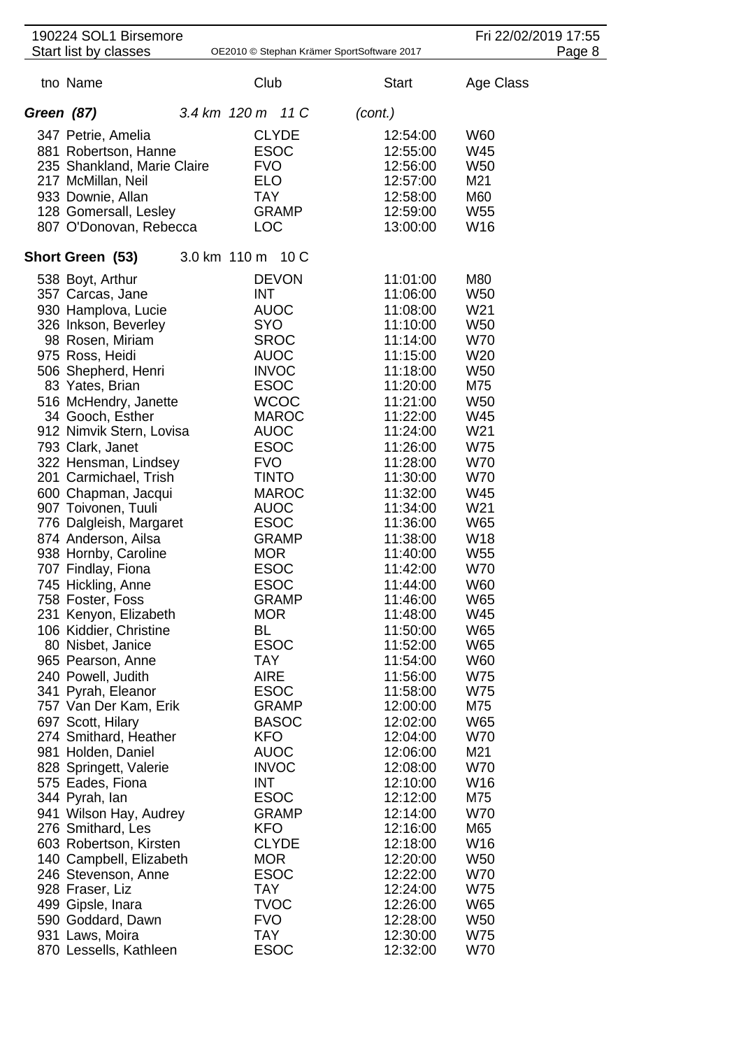|            | 190224 SOL1 Birsemore<br>Start list by classes |                           |                             | OE2010 © Stephan Krämer SportSoftware 2017 |                      |                        | Fri 22/02/2019 17:55<br>Page 8 |
|------------|------------------------------------------------|---------------------------|-----------------------------|--------------------------------------------|----------------------|------------------------|--------------------------------|
|            |                                                |                           |                             |                                            |                      |                        |                                |
|            | tno Name                                       | Club                      |                             |                                            | <b>Start</b>         | Age Class              |                                |
| Green (87) |                                                | 3.4 km 120 m 11 C         |                             | (cont.)                                    |                      |                        |                                |
|            | 347 Petrie, Amelia                             | <b>CLYDE</b>              |                             |                                            | 12:54:00             | W60                    |                                |
|            | 881 Robertson, Hanne                           | <b>ESOC</b>               |                             |                                            | 12:55:00             | W45                    |                                |
|            | 235 Shankland, Marie Claire                    | <b>FVO</b>                |                             |                                            | 12:56:00             | <b>W50</b>             |                                |
|            | 217 McMillan, Neil                             | <b>ELO</b>                |                             |                                            | 12:57:00             | M21                    |                                |
|            | 933 Downie, Allan                              | <b>TAY</b>                |                             |                                            | 12:58:00             | M60                    |                                |
|            | 128 Gomersall, Lesley                          |                           | <b>GRAMP</b>                |                                            | 12:59:00             | W <sub>55</sub>        |                                |
|            | 807 O'Donovan, Rebecca                         | <b>LOC</b>                |                             |                                            | 13:00:00             | W16                    |                                |
|            | Short Green (53)                               | 3.0 km 110 m 10 C         |                             |                                            |                      |                        |                                |
|            | 538 Boyt, Arthur                               |                           | <b>DEVON</b>                |                                            | 11:01:00             | M80                    |                                |
|            | 357 Carcas, Jane                               | <b>INT</b>                |                             |                                            | 11:06:00             | W <sub>50</sub>        |                                |
|            | 930 Hamplova, Lucie                            | <b>AUOC</b>               |                             |                                            | 11:08:00             | W21                    |                                |
|            | 326 Inkson, Beverley                           | <b>SYO</b>                |                             |                                            | 11:10:00             | W <sub>50</sub>        |                                |
|            | 98 Rosen, Miriam                               | <b>SROC</b>               |                             |                                            | 11:14:00             | <b>W70</b>             |                                |
|            | 975 Ross, Heidi                                | <b>AUOC</b>               |                             |                                            | 11:15:00             | W <sub>20</sub>        |                                |
|            | 506 Shepherd, Henri                            | <b>INVOC</b>              |                             |                                            | 11:18:00             | W <sub>50</sub>        |                                |
|            | 83 Yates, Brian                                | <b>ESOC</b>               |                             |                                            | 11:20:00             | M75                    |                                |
|            | 516 McHendry, Janette                          |                           | <b>WCOC</b><br><b>MAROC</b> |                                            | 11:21:00<br>11:22:00 | W <sub>50</sub><br>W45 |                                |
|            | 34 Gooch, Esther<br>912 Nimvik Stern, Lovisa   | <b>AUOC</b>               |                             |                                            | 11:24:00             | W21                    |                                |
|            | 793 Clark, Janet                               | <b>ESOC</b>               |                             |                                            | 11:26:00             | W75                    |                                |
|            | 322 Hensman, Lindsey                           | <b>FVO</b>                |                             |                                            | 11:28:00             | W70                    |                                |
|            | 201 Carmichael, Trish                          | <b>TINTO</b>              |                             |                                            | 11:30:00             | W70                    |                                |
|            | 600 Chapman, Jacqui                            |                           | <b>MAROC</b>                |                                            | 11:32:00             | W45                    |                                |
|            | 907 Toivonen, Tuuli                            | <b>AUOC</b>               |                             |                                            | 11:34:00             | W21                    |                                |
|            | 776 Dalgleish, Margaret                        | <b>ESOC</b>               |                             |                                            | 11:36:00             | W65                    |                                |
|            | 874 Anderson, Ailsa                            |                           | <b>GRAMP</b>                |                                            | 11:38:00             | W18                    |                                |
|            | 938 Hornby, Caroline                           | <b>MOR</b>                |                             |                                            | 11:40:00             | W <sub>55</sub>        |                                |
|            | 707 Findlay, Fiona                             | <b>ESOC</b>               |                             |                                            | 11:42:00             | <b>W70</b>             |                                |
|            | 745 Hickling, Anne                             | <b>ESOC</b>               |                             |                                            | 11:44:00             | <b>W60</b>             |                                |
|            | 758 Foster, Foss                               |                           | <b>GRAMP</b>                |                                            | 11:46:00             | W65                    |                                |
|            | 231 Kenyon, Elizabeth                          | <b>MOR</b>                |                             |                                            | 11:48:00             | W45                    |                                |
|            | 106 Kiddier, Christine                         | BL                        |                             |                                            | 11:50:00             | W65                    |                                |
|            | 80 Nisbet, Janice                              | <b>ESOC</b>               |                             |                                            | 11:52:00             | W65                    |                                |
|            | 965 Pearson, Anne                              | TAY                       |                             |                                            | 11:54:00             | W60                    |                                |
|            | 240 Powell, Judith                             | <b>AIRE</b>               |                             |                                            | 11:56:00             | W75                    |                                |
|            | 341 Pyrah, Eleanor                             | <b>ESOC</b>               |                             |                                            | 11:58:00             | W75                    |                                |
|            | 757 Van Der Kam, Erik                          |                           | <b>GRAMP</b>                |                                            | 12:00:00             | M75                    |                                |
|            | 697 Scott, Hilary                              |                           | <b>BASOC</b>                |                                            | 12:02:00             | W65                    |                                |
|            | 274 Smithard, Heather<br>981 Holden, Daniel    | <b>KFO</b><br><b>AUOC</b> |                             |                                            | 12:04:00<br>12:06:00 | <b>W70</b><br>M21      |                                |
|            | 828 Springett, Valerie                         | <b>INVOC</b>              |                             |                                            | 12:08:00             | <b>W70</b>             |                                |
|            | 575 Eades, Fiona                               | INT                       |                             |                                            | 12:10:00             | W16                    |                                |
|            | 344 Pyrah, lan                                 | <b>ESOC</b>               |                             |                                            | 12:12:00             | M75                    |                                |
|            | 941 Wilson Hay, Audrey                         |                           | <b>GRAMP</b>                |                                            | 12:14:00             | <b>W70</b>             |                                |
|            | 276 Smithard, Les                              | <b>KFO</b>                |                             |                                            | 12:16:00             | M65                    |                                |
|            | 603 Robertson, Kirsten                         | <b>CLYDE</b>              |                             |                                            | 12:18:00             | W16                    |                                |
|            | 140 Campbell, Elizabeth                        | <b>MOR</b>                |                             |                                            | 12:20:00             | W50                    |                                |
|            | 246 Stevenson, Anne                            | <b>ESOC</b>               |                             |                                            | 12:22:00             | <b>W70</b>             |                                |
|            | 928 Fraser, Liz                                | TAY                       |                             |                                            | 12:24:00             | W75                    |                                |
|            | 499 Gipsle, Inara                              | <b>TVOC</b>               |                             |                                            | 12:26:00             | W65                    |                                |
|            | 590 Goddard, Dawn                              | <b>FVO</b>                |                             |                                            | 12:28:00             | W <sub>50</sub>        |                                |
|            | 931 Laws, Moira                                | <b>TAY</b>                |                             |                                            | 12:30:00             | W75                    |                                |
|            | 870 Lessells, Kathleen                         | <b>ESOC</b>               |                             |                                            | 12:32:00             | W70                    |                                |